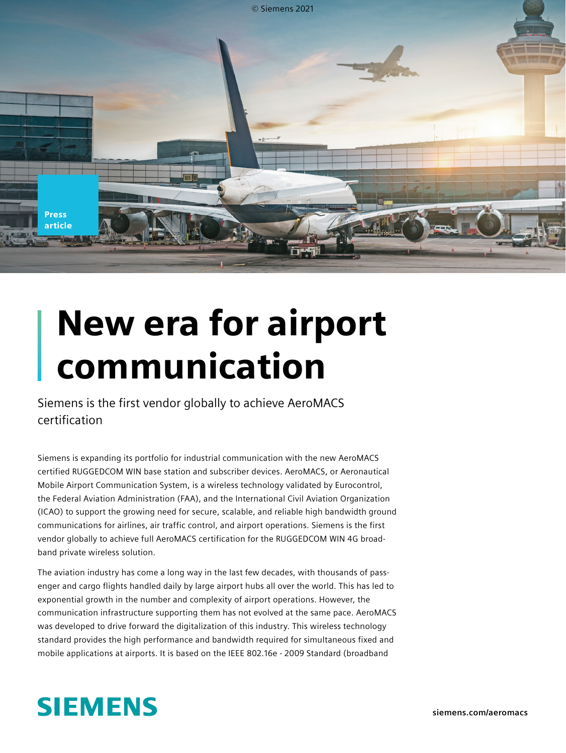

## New era for airport communication

Siemens is the first vendor globally to achieve AeroMACS certification

Siemens is expanding its portfolio for industrial communication with the new AeroMACS certified RUGGEDCOM WIN base station and subscriber devices. AeroMACS, or Aeronautical Mobile Airport Communication System, is a wireless technology validated by Eurocontrol, the Federal Aviation Administration (FAA), and the International Civil Aviation Organization (ICAO) to support the growing need for secure, scalable, and reliable high bandwidth ground communications for airlines, air traffic control, and airport operations. Siemens is the first vendor globally to achieve full AeroMACS certification for the RUGGEDCOM WIN 4G broadband private wireless solution.

The aviation industry has come a long way in the last few decades, with thousands of passenger and cargo flights handled daily by large airport hubs all over the world. This has led to exponential growth in the number and complexity of airport operations. However, the communication infrastructure supporting them has not evolved at the same pace. AeroMACS was developed to drive forward the digitalization of this industry. This wireless technology standard provides the high performance and bandwidth required for simultaneous fixed and mobile applications at airports. It is based on the IEEE 802.16e - 2009 Standard (broadband